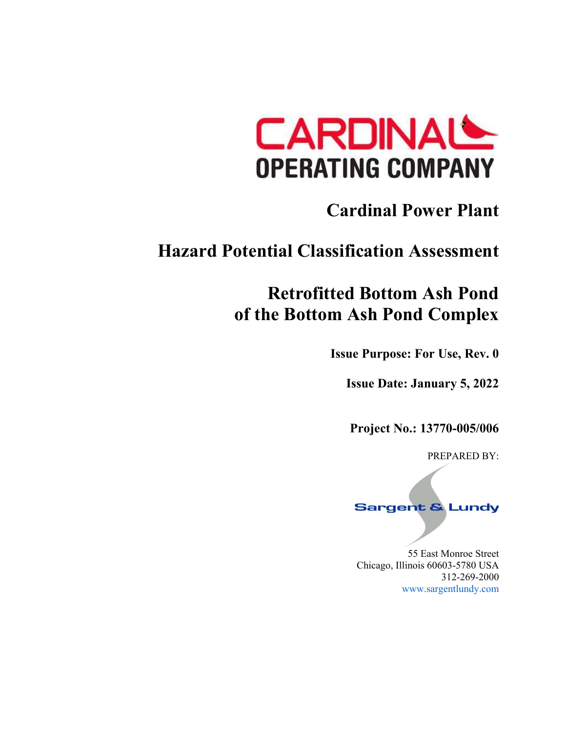

# **Cardinal Power Plant**

# **Hazard Potential Classification Assessment**

# **Retrofitted Bottom Ash Pond of the Bottom Ash Pond Complex**

**Issue Purpose: For Use, Rev. 0** 

**Issue Date: January 5, 2022** 

**Project No.: 13770-005/006** 

PREPARED BY:



55 East Monroe Street Chicago, Illinois 60603‐5780 USA 312‐269‐2000 www.sargentlundy.com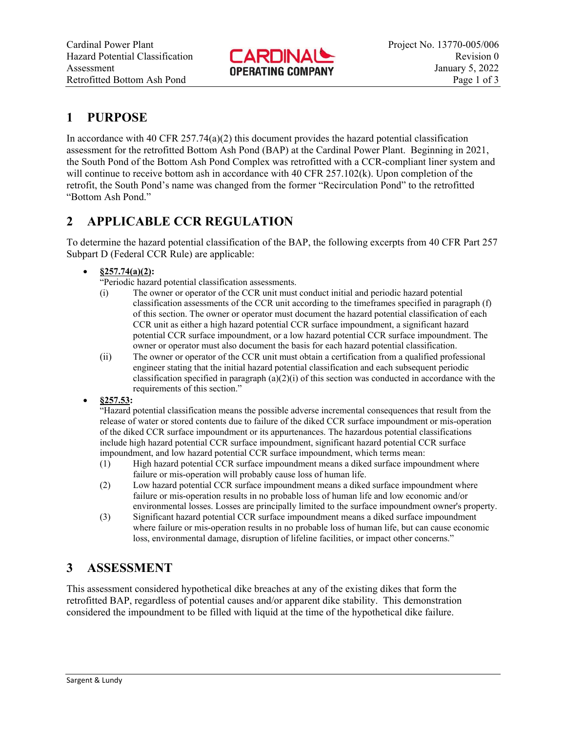

## **1 PURPOSE**

In accordance with 40 CFR  $257.74(a)(2)$  this document provides the hazard potential classification assessment for the retrofitted Bottom Ash Pond (BAP) at the Cardinal Power Plant. Beginning in 2021, the South Pond of the Bottom Ash Pond Complex was retrofitted with a CCR-compliant liner system and will continue to receive bottom ash in accordance with 40 CFR 257.102(k). Upon completion of the retrofit, the South Pond's name was changed from the former "Recirculation Pond" to the retrofitted "Bottom Ash Pond."

### **2 APPLICABLE CCR REGULATION**

To determine the hazard potential classification of the BAP, the following excerpts from 40 CFR Part 257 Subpart D (Federal CCR Rule) are applicable:

#### **§257.74(a)(2):**

"Periodic hazard potential classification assessments.

- (i) The owner or operator of the CCR unit must conduct initial and periodic hazard potential classification assessments of the CCR unit according to the timeframes specified in paragraph (f) of this section. The owner or operator must document the hazard potential classification of each CCR unit as either a high hazard potential CCR surface impoundment, a significant hazard potential CCR surface impoundment, or a low hazard potential CCR surface impoundment. The owner or operator must also document the basis for each hazard potential classification.
- (ii) The owner or operator of the CCR unit must obtain a certification from a qualified professional engineer stating that the initial hazard potential classification and each subsequent periodic classification specified in paragraph (a)(2)(i) of this section was conducted in accordance with the requirements of this section."
- **§257.53:**

"Hazard potential classification means the possible adverse incremental consequences that result from the release of water or stored contents due to failure of the diked CCR surface impoundment or mis-operation of the diked CCR surface impoundment or its appurtenances. The hazardous potential classifications include high hazard potential CCR surface impoundment, significant hazard potential CCR surface impoundment, and low hazard potential CCR surface impoundment, which terms mean:

- (1) High hazard potential CCR surface impoundment means a diked surface impoundment where failure or mis-operation will probably cause loss of human life.
- (2) Low hazard potential CCR surface impoundment means a diked surface impoundment where failure or mis-operation results in no probable loss of human life and low economic and/or environmental losses. Losses are principally limited to the surface impoundment owner's property.
- (3) Significant hazard potential CCR surface impoundment means a diked surface impoundment where failure or mis-operation results in no probable loss of human life, but can cause economic loss, environmental damage, disruption of lifeline facilities, or impact other concerns."

## **3 ASSESSMENT**

This assessment considered hypothetical dike breaches at any of the existing dikes that form the retrofitted BAP, regardless of potential causes and/or apparent dike stability. This demonstration considered the impoundment to be filled with liquid at the time of the hypothetical dike failure.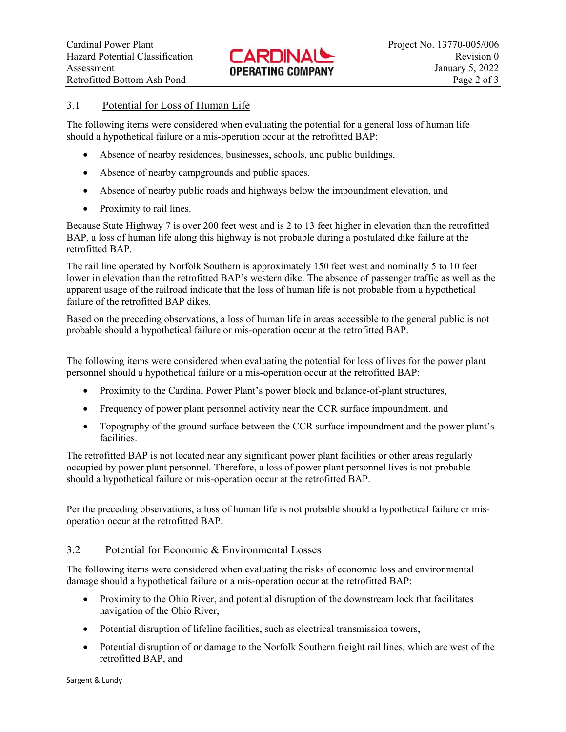

#### 3.1 Potential for Loss of Human Life

The following items were considered when evaluating the potential for a general loss of human life should a hypothetical failure or a mis-operation occur at the retrofitted BAP:

- Absence of nearby residences, businesses, schools, and public buildings,
- Absence of nearby campgrounds and public spaces,
- Absence of nearby public roads and highways below the impoundment elevation, and
- Proximity to rail lines.

Because State Highway 7 is over 200 feet west and is 2 to 13 feet higher in elevation than the retrofitted BAP, a loss of human life along this highway is not probable during a postulated dike failure at the retrofitted BAP.

The rail line operated by Norfolk Southern is approximately 150 feet west and nominally 5 to 10 feet lower in elevation than the retrofitted BAP's western dike. The absence of passenger traffic as well as the apparent usage of the railroad indicate that the loss of human life is not probable from a hypothetical failure of the retrofitted BAP dikes.

Based on the preceding observations, a loss of human life in areas accessible to the general public is not probable should a hypothetical failure or mis-operation occur at the retrofitted BAP.

The following items were considered when evaluating the potential for loss of lives for the power plant personnel should a hypothetical failure or a mis-operation occur at the retrofitted BAP:

- Proximity to the Cardinal Power Plant's power block and balance-of-plant structures,
- Frequency of power plant personnel activity near the CCR surface impoundment, and
- Topography of the ground surface between the CCR surface impoundment and the power plant's facilities.

The retrofitted BAP is not located near any significant power plant facilities or other areas regularly occupied by power plant personnel. Therefore, a loss of power plant personnel lives is not probable should a hypothetical failure or mis-operation occur at the retrofitted BAP.

Per the preceding observations, a loss of human life is not probable should a hypothetical failure or misoperation occur at the retrofitted BAP.

#### 3.2 Potential for Economic & Environmental Losses

The following items were considered when evaluating the risks of economic loss and environmental damage should a hypothetical failure or a mis-operation occur at the retrofitted BAP:

- Proximity to the Ohio River, and potential disruption of the downstream lock that facilitates navigation of the Ohio River,
- Potential disruption of lifeline facilities, such as electrical transmission towers,
- Potential disruption of or damage to the Norfolk Southern freight rail lines, which are west of the retrofitted BAP, and